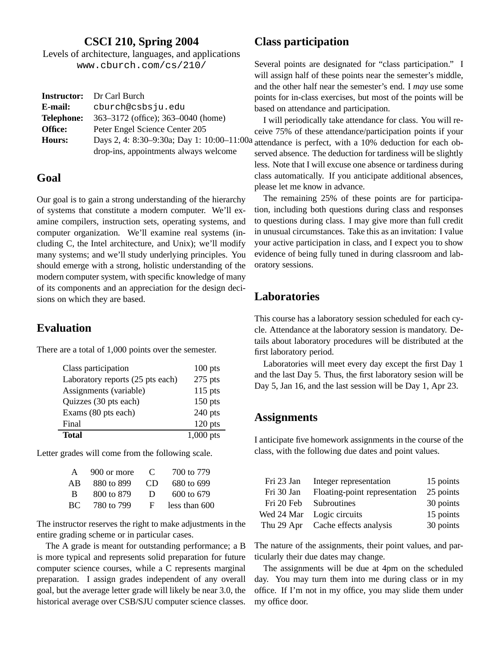### **CSCI 210, Spring 2004**

Levels of architecture, languages, and applications www.cburch.com/cs/210/

|                   | <b>Instructor:</b> Dr Carl Burch           |
|-------------------|--------------------------------------------|
| E-mail:           | cburch@csbsju.edu                          |
| <b>Telephone:</b> | 363–3172 (office); 363–0040 (home)         |
| Office:           | Peter Engel Science Center 205             |
| <b>Hours:</b>     | Days 2, 4: 8:30-9:30a; Day 1: 10:00-11:00a |
|                   | drop-ins, appointments always welcome      |

#### **Goal**

Our goal is to gain a strong understanding of the hierarchy of systems that constitute a modern computer. We'll examine compilers, instruction sets, operating systems, and computer organization. We'll examine real systems (including C, the Intel architecture, and Unix); we'll modify many systems; and we'll study underlying principles. You should emerge with a strong, holistic understanding of the modern computer system, with specific knowledge of many of its components and an appreciation for the design decisions on which they are based.

#### **Evaluation**

There are a total of 1,000 points over the semester.

| Class participation              | $100$ pts   |
|----------------------------------|-------------|
| Laboratory reports (25 pts each) | $275$ pts   |
| Assignments (variable)           | $115$ pts   |
| Quizzes (30 pts each)            | $150$ pts   |
| Exams (80 pts each)              | $240$ pts   |
| Final                            | $120$ pts   |
| Total                            | $1,000$ pts |

Letter grades will come from the following scale.

| A  | 900 or more | $\mathbf C$ | 700 to 779      |
|----|-------------|-------------|-----------------|
| ΑB | 880 to 899  | CD          | 680 to 699      |
| -B | 800 to 879  | Ð           | 600 to 679      |
| ВC | 780 to 799  | F           | less than $600$ |

The instructor reserves the right to make adjustments in the entire grading scheme or in particular cases.

The A grade is meant for outstanding performance; a B is more typical and represents solid preparation for future computer science courses, while a C represents marginal preparation. I assign grades independent of any overall goal, but the average letter grade will likely be near 3.0, the historical average over CSB/SJU computer science classes.

# **Class participation**

Several points are designated for "class participation." I will assign half of these points near the semester's middle, and the other half near the semester's end. I *may* use some points for in-class exercises, but most of the points will be based on attendance and participation.

I will periodically take attendance for class. You will receive 75% of these attendance/participation points if your  $\alpha$  attendance is perfect, with a 10% deduction for each observed absence. The deduction for tardiness will be slightly less. Note that I will excuse one absence or tardiness during class automatically. If you anticipate additional absences, please let me know in advance.

The remaining 25% of these points are for participation, including both questions during class and responses to questions during class. I may give more than full credit in unusual circumstances. Take this as an invitation: I value your active participation in class, and I expect you to show evidence of being fully tuned in during classroom and laboratory sessions.

### **Laboratories**

This course has a laboratory session scheduled for each cycle. Attendance at the laboratory session is mandatory. Details about laboratory procedures will be distributed at the first laboratory period.

Laboratories will meet every day except the first Day 1 and the last Day 5. Thus, the first laboratory sesion will be Day 5, Jan 16, and the last session will be Day 1, Apr 23.

#### **Assignments**

I anticipate five homework assignments in the course of the class, with the following due dates and point values.

| Fri 23 Jan | Integer representation            | 15 points |
|------------|-----------------------------------|-----------|
| Fri 30 Jan | Floating-point representation     | 25 points |
| Fri 20 Feb | Subroutines                       | 30 points |
| Wed 24 Mar | Logic circuits                    | 15 points |
|            | Thu 29 Apr Cache effects analysis | 30 points |

The nature of the assignments, their point values, and particularly their due dates may change.

The assignments will be due at 4pm on the scheduled day. You may turn them into me during class or in my office. If I'm not in my office, you may slide them under my office door.